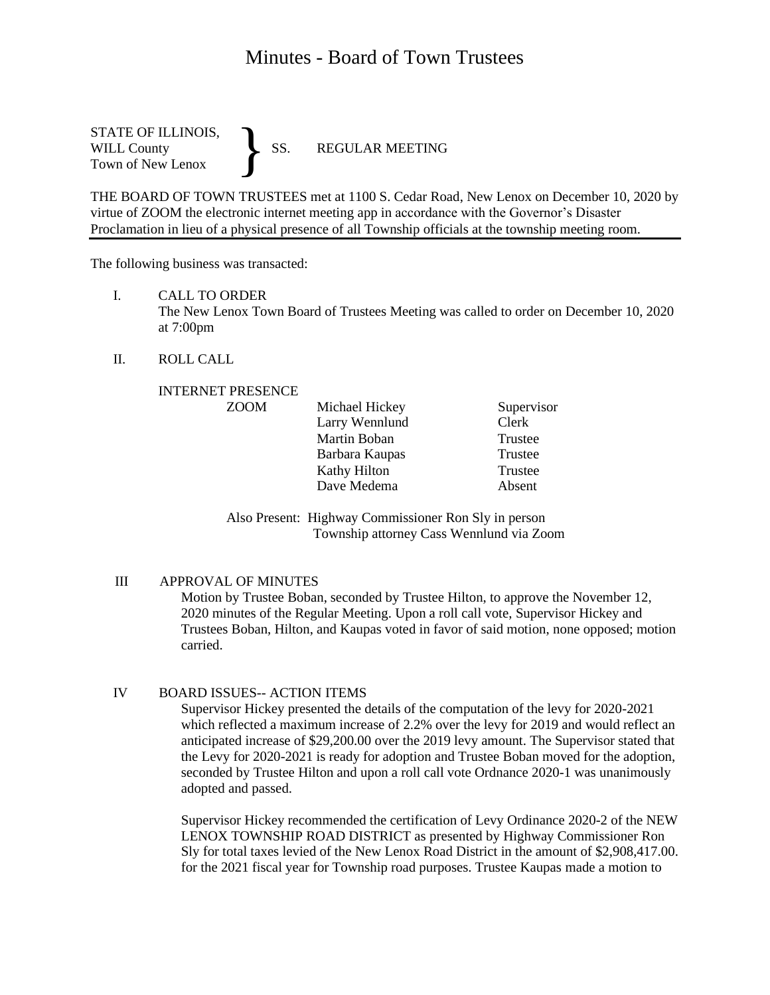# Minutes - Board of Town Trustees

STATE OF ILLINOIS,<br>WILL County SS. WILL County SS. REGULAR MEETING Town of New Lenox }

THE BOARD OF TOWN TRUSTEES met at 1100 S. Cedar Road, New Lenox on December 10, 2020 by virtue of ZOOM the electronic internet meeting app in accordance with the Governor's Disaster Proclamation in lieu of a physical presence of all Township officials at the township meeting room.

The following business was transacted:

I. CALL TO ORDER

The New Lenox Town Board of Trustees Meeting was called to order on December 10, 2020 at 7:00pm

II. ROLL CALL

#### INTERNET PRESENCE

| Michael Hickey | Supervisor |
|----------------|------------|
| Larry Wennlund | Clerk      |
| Martin Boban   | Trustee    |
| Barbara Kaupas | Trustee    |
| Kathy Hilton   | Trustee    |
| Dave Medema    | Absent     |
|                |            |

Also Present: Highway Commissioner Ron Sly in person Township attorney Cass Wennlund via Zoom

#### III APPROVAL OF MINUTES

Motion by Trustee Boban, seconded by Trustee Hilton, to approve the November 12, 2020 minutes of the Regular Meeting. Upon a roll call vote, Supervisor Hickey and Trustees Boban, Hilton, and Kaupas voted in favor of said motion, none opposed; motion carried.

## IV BOARD ISSUES-- ACTION ITEMS

Supervisor Hickey presented the details of the computation of the levy for 2020-2021 which reflected a maximum increase of 2.2% over the levy for 2019 and would reflect an anticipated increase of \$29,200.00 over the 2019 levy amount. The Supervisor stated that the Levy for 2020-2021 is ready for adoption and Trustee Boban moved for the adoption, seconded by Trustee Hilton and upon a roll call vote Ordnance 2020-1 was unanimously adopted and passed.

Supervisor Hickey recommended the certification of Levy Ordinance 2020-2 of the NEW LENOX TOWNSHIP ROAD DISTRICT as presented by Highway Commissioner Ron Sly for total taxes levied of the New Lenox Road District in the amount of \$2,908,417.00. for the 2021 fiscal year for Township road purposes. Trustee Kaupas made a motion to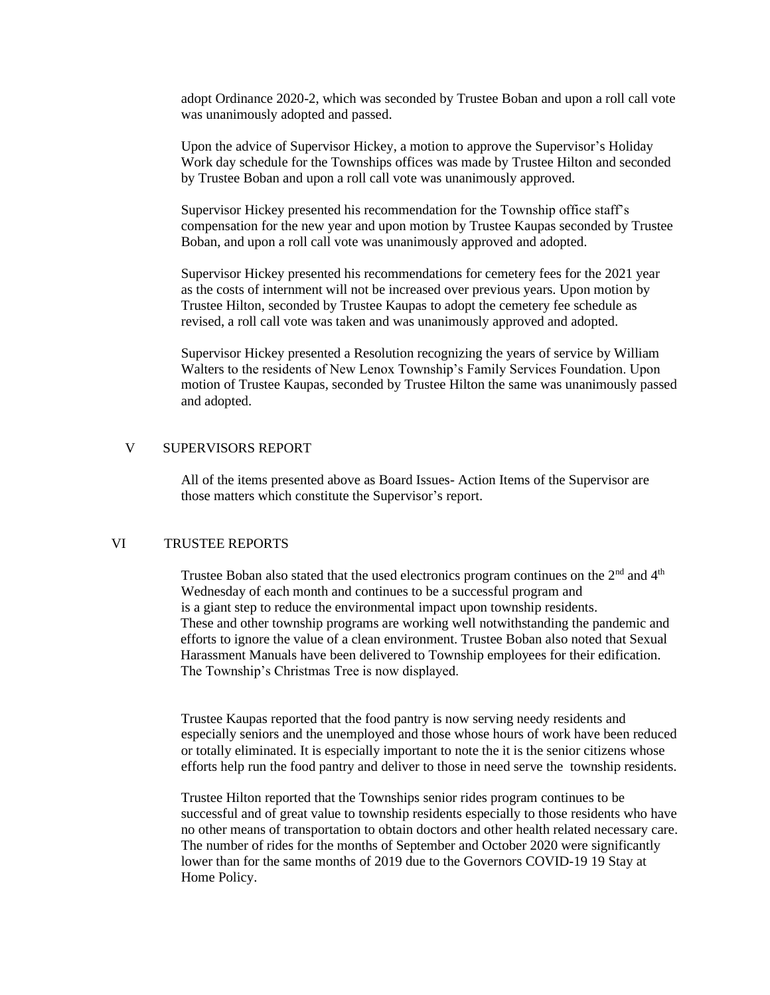adopt Ordinance 2020-2, which was seconded by Trustee Boban and upon a roll call vote was unanimously adopted and passed.

Upon the advice of Supervisor Hickey, a motion to approve the Supervisor's Holiday Work day schedule for the Townships offices was made by Trustee Hilton and seconded by Trustee Boban and upon a roll call vote was unanimously approved.

Supervisor Hickey presented his recommendation for the Township office staff's compensation for the new year and upon motion by Trustee Kaupas seconded by Trustee Boban, and upon a roll call vote was unanimously approved and adopted.

Supervisor Hickey presented his recommendations for cemetery fees for the 2021 year as the costs of internment will not be increased over previous years. Upon motion by Trustee Hilton, seconded by Trustee Kaupas to adopt the cemetery fee schedule as revised, a roll call vote was taken and was unanimously approved and adopted.

Supervisor Hickey presented a Resolution recognizing the years of service by William Walters to the residents of New Lenox Township's Family Services Foundation. Upon motion of Trustee Kaupas, seconded by Trustee Hilton the same was unanimously passed and adopted.

## V SUPERVISORS REPORT

All of the items presented above as Board Issues- Action Items of the Supervisor are those matters which constitute the Supervisor's report.

## VI TRUSTEE REPORTS

Trustee Boban also stated that the used electronics program continues on the 2<sup>nd</sup> and 4<sup>th</sup> Wednesday of each month and continues to be a successful program and is a giant step to reduce the environmental impact upon township residents. These and other township programs are working well notwithstanding the pandemic and efforts to ignore the value of a clean environment. Trustee Boban also noted that Sexual Harassment Manuals have been delivered to Township employees for their edification. The Township's Christmas Tree is now displayed.

Trustee Kaupas reported that the food pantry is now serving needy residents and especially seniors and the unemployed and those whose hours of work have been reduced or totally eliminated. It is especially important to note the it is the senior citizens whose efforts help run the food pantry and deliver to those in need serve the township residents.

Trustee Hilton reported that the Townships senior rides program continues to be successful and of great value to township residents especially to those residents who have no other means of transportation to obtain doctors and other health related necessary care. The number of rides for the months of September and October 2020 were significantly lower than for the same months of 2019 due to the Governors COVID-19 19 Stay at Home Policy.